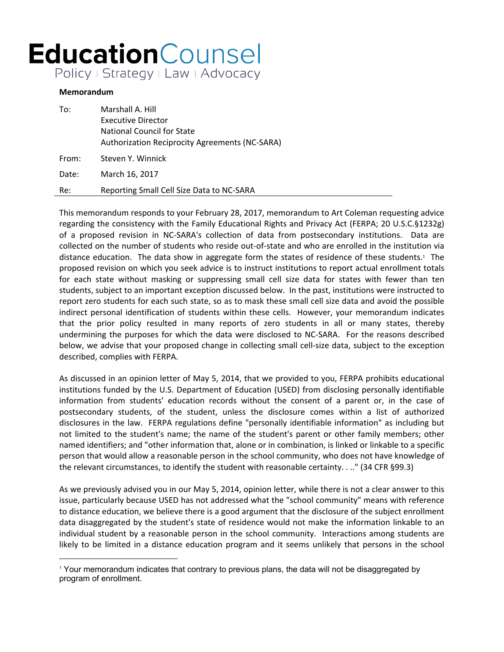## **Education**Counsel Policy | Strategy | Law | Advocacy

## **Memorandum**

| To:   | Marshall A. Hill                                      |
|-------|-------------------------------------------------------|
|       | Executive Director                                    |
|       | National Council for State                            |
|       | <b>Authorization Reciprocity Agreements (NC-SARA)</b> |
| From: | Steven Y. Winnick                                     |
| Date: | March 16, 2017                                        |
| Re:   | Reporting Small Cell Size Data to NC-SARA             |

This memorandum responds to your February 28, 2017, memorandum to Art Coleman requesting advice regarding the consistency with the Family Educational Rights and Privacy Act (FERPA; 20 U.S.C.§1232g) of a proposed revision in NC-SARA's collection of data from postsecondary institutions. Data are collected on the number of students who reside out-of-state and who are enrolled in the institution via distance education. The data show in aggregate form the states of residence of these students.<sup>1</sup> The proposed revision on which you seek advice is to instruct institutions to report actual enrollment totals for each state without masking or suppressing small cell size data for states with fewer than ten students, subject to an important exception discussed below. In the past, institutions were instructed to report zero students for each such state, so as to mask these small cell size data and avoid the possible indirect personal identification of students within these cells. However, your memorandum indicates that the prior policy resulted in many reports of zero students in all or many states, thereby undermining the purposes for which the data were disclosed to NC-SARA. For the reasons described below, we advise that your proposed change in collecting small cell-size data, subject to the exception described, complies with FERPA.

As discussed in an opinion letter of May 5, 2014, that we provided to you, FERPA prohibits educational institutions funded by the U.S. Department of Education (USED) from disclosing personally identifiable information from students' education records without the consent of a parent or, in the case of postsecondary students, of the student, unless the disclosure comes within a list of authorized disclosures in the law. FERPA regulations define "personally identifiable information" as including but not limited to the student's name; the name of the student's parent or other family members; other named identifiers; and "other information that, alone or in combination, is linked or linkable to a specific person that would allow a reasonable person in the school community, who does not have knowledge of the relevant circumstances, to identify the student with reasonable certainty. . .." (34 CFR §99.3)

As we previously advised you in our May 5, 2014, opinion letter, while there is not a clear answer to this issue, particularly because USED has not addressed what the "school community" means with reference to distance education, we believe there is a good argument that the disclosure of the subject enrollment data disaggregated by the student's state of residence would not make the information linkable to an individual student by a reasonable person in the school community. Interactions among students are likely to be limited in a distance education program and it seems unlikely that persons in the school

<sup>1</sup> Your memorandum indicates that contrary to previous plans, the data will not be disaggregated by program of enrollment.